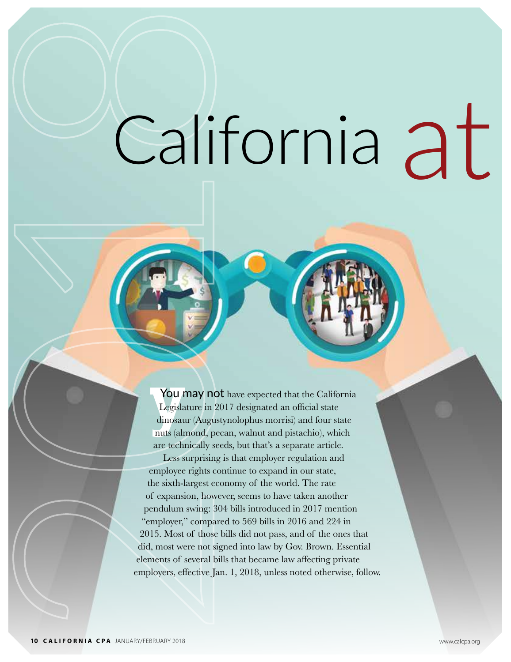# at California

You r<br>Legisla<br>dinosau<br>nuts (aln You may not have expected that the California Legislature in 2017 designated an official state dinosaur (Augustynolophus morrisi) and four state nuts (almond, pecan, walnut and pistachio), which are technically seeds, but that's a separate article. Less surprising is that employer regulation and employee rights continue to expand in our state, the sixth-largest economy of the world. The rate of expansion, however, seems to have taken another pendulum swing: 304 bills introduced in 2017 mention "employer," compared to 569 bills in 2016 and 224 in 2015. Most of those bills did not pass, and of the ones that did, most were not signed into law by Gov. Brown. Essential elements of several bills that became law affecting private employers, effective Jan. 1, 2018, unless noted otherwise, follow.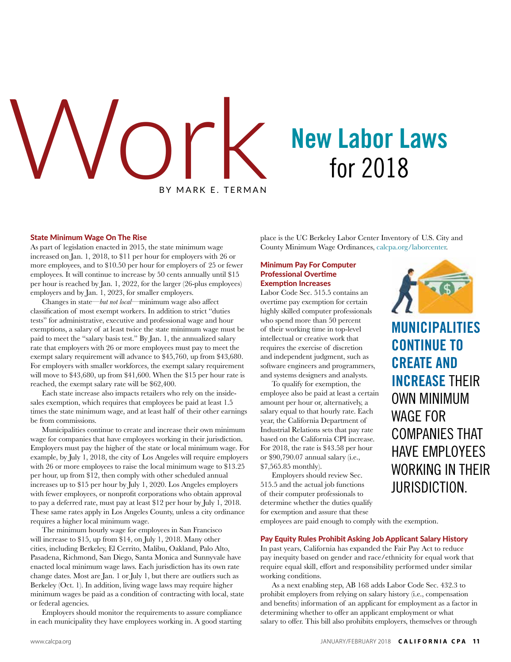# BY MARK E. TERMAN **New Labor Laws**<br>for 2018

#### State Minimum Wage On The Rise

As part of legislation enacted in 2015, the state minimum wage increased on Jan. 1, 2018, to \$11 per hour for employers with 26 or more employees, and to \$10.50 per hour for employers of 25 or fewer employees. It will continue to increase by 50 cents annually until \$15 per hour is reached by Jan. 1, 2022, for the larger (26-plus employees) employers and by Jan. 1, 2023, for smaller employers.

Changes in state—*but not local*—minimum wage also affect classification of most exempt workers. In addition to strict "duties tests" for administrative, executive and professional wage and hour exemptions, a salary of at least twice the state minimum wage must be paid to meet the "salary basis test." By Jan. 1, the annualized salary rate that employers with 26 or more employees must pay to meet the exempt salary requirement will advance to \$45,760, up from \$43,680. For employers with smaller workforces, the exempt salary requirement will move to \$43,680, up from \$41,600. When the \$15 per hour rate is reached, the exempt salary rate will be \$62,400.

Each state increase also impacts retailers who rely on the insidesales exemption, which requires that employees be paid at least 1.5 times the state minimum wage, and at least half of their other earnings be from commissions.

Municipalities continue to create and increase their own minimum wage for companies that have employees working in their jurisdiction. Employers must pay the higher of the state or local minimum wage. For example, by July 1, 2018, the city of Los Angeles will require employers with 26 or more employees to raise the local minimum wage to \$13.25 per hour, up from \$12, then comply with other scheduled annual increases up to \$15 per hour by July 1, 2020. Los Angeles employers with fewer employees, or nonprofit corporations who obtain approval to pay a deferred rate, must pay at least \$12 per hour by July 1, 2018. These same rates apply in Los Angeles County, unless a city ordinance requires a higher local minimum wage.

The minimum hourly wage for employees in San Francisco will increase to \$15, up from \$14, on July 1, 2018. Many other cities, including Berkeley, El Cerrito, Malibu, Oakland, Palo Alto, Pasadena, Richmond, San Diego, Santa Monica and Sunnyvale have enacted local minimum wage laws. Each jurisdiction has its own rate change dates. Most are Jan. 1 or July 1, but there are outliers such as Berkeley (Oct. 1). In addition, living wage laws may require higher minimum wages be paid as a condition of contracting with local, state or federal agencies.

Employers should monitor the requirements to assure compliance in each municipality they have employees working in. A good starting place is the UC Berkeley Labor Center Inventory of U.S. City and County Minimum Wage Ordinances, calcpa.org/laborcenter.

#### Minimum Pay For Computer Professional Overtime Exemption Increases

Labor Code Sec. 515.5 contains an overtime pay exemption for certain highly skilled computer professionals who spend more than 50 percent of their working time in top-level intellectual or creative work that requires the exercise of discretion and independent judgment, such as software engineers and programmers, and systems designers and analysts.

To qualify for exemption, the employee also be paid at least a certain amount per hour or, alternatively, a salary equal to that hourly rate. Each year, the California Department of Industrial Relations sets that pay rate based on the California CPI increase. For 2018, the rate is \$43.58 per hour or \$90,790.07 annual salary (i.e., \$7,565.85 monthly).

Employers should review Sec. 515.5 and the actual job functions of their computer professionals to determine whether the duties qualify for exemption and assure that these



**MUNICIPALITIES CONTINUE TO CREATE AND INCREASE** THEIR OWN MINIMUM WAGE FOR COMPANIES THAT HAVE EMPLOYEES WORKING IN THEIR JURISDICTION.

employees are paid enough to comply with the exemption.

#### Pay Equity Rules Prohibit Asking Job Applicant Salary History

In past years, California has expanded the Fair Pay Act to reduce pay inequity based on gender and race/ethnicity for equal work that require equal skill, effort and responsibility performed under similar working conditions.

As a next enabling step, AB 168 adds Labor Code Sec. 432.3 to prohibit employers from relying on salary history (i.e., compensation and benefits) information of an applicant for employment as a factor in determining whether to offer an applicant employment or what salary to offer. This bill also prohibits employers, themselves or through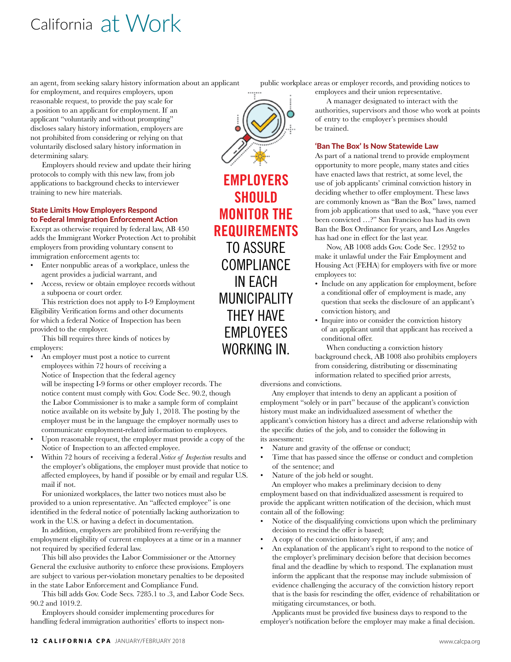## California at Work

an agent, from seeking salary history information about an applicant

for employment, and requires employers, upon reasonable request, to provide the pay scale for a position to an applicant for employment. If an applicant "voluntarily and without prompting" discloses salary history information, employers are not prohibited from considering or relying on that voluntarily disclosed salary history information in determining salary.

Employers should review and update their hiring protocols to comply with this new law, from job applications to background checks to interviewer training to new hire materials.

#### State Limits How Employers Respond to Federal Immigration Enforcement Action

Except as otherwise required by federal law, AB 450 adds the Immigrant Worker Protection Act to prohibit employers from providing voluntary consent to immigration enforcement agents to:

- Enter nonpublic areas of a workplace, unless the agent provides a judicial warrant, and
- Access, review or obtain employee records without a subpoena or court order.

This restriction does not apply to I-9 Employment Eligibility Verification forms and other documents for which a federal Notice of Inspection has been provided to the employer.

This bill requires three kinds of notices by employers:

• An employer must post a notice to current employees within 72 hours of receiving a Notice of Inspection that the federal agency

will be inspecting I-9 forms or other employer records. The notice content must comply with Gov. Code Sec. 90.2, though the Labor Commissioner is to make a sample form of complaint notice available on its website by July 1, 2018. The posting by the employer must be in the language the employer normally uses to communicate employment-related information to employees.

- Upon reasonable request, the employer must provide a copy of the Notice of Inspection to an affected employee.
- Within 72 hours of receiving a federal *Notice of Inspection* results and the employer's obligations, the employer must provide that notice to affected employees, by hand if possible or by email and regular U.S. mail if not.

For unionized workplaces, the latter two notices must also be provided to a union representative. An "affected employee" is one identified in the federal notice of potentially lacking authorization to work in the U.S. or having a defect in documentation.

In addition, employers are prohibited from re-verifying the employment eligibility of current employees at a time or in a manner not required by specified federal law.

This bill also provides the Labor Commissioner or the Attorney General the exclusive authority to enforce these provisions. Employers are subject to various per-violation monetary penalties to be deposited in the state Labor Enforcement and Compliance Fund.

This bill adds Gov. Code Secs. 7285.1 to .3, and Labor Code Secs. 90.2 and 1019.2.

Employers should consider implementing procedures for handling federal immigration authorities' efforts to inspect non-

**EMPLOYERS SHOULD MONITOR THE REQUIREMENTS** TO ASSURE COMPLIANCE IN EACH MUNICIPALITY THEY HAVE EMPLOYEES WORKING IN.

public workplace areas or employer records, and providing notices to

employees and their union representative. A manager designated to interact with the authorities, supervisors and those who work at points of entry to the employer's premises should be trained.

### 'Ban The Box' Is Now Statewide Law

As part of a national trend to provide employment opportunity to more people, many states and cities have enacted laws that restrict, at some level, the use of job applicants' criminal conviction history in deciding whether to offer employment. These laws are commonly known as "Ban the Box" laws, named from job applications that used to ask, "have you ever been convicted …?" San Francisco has had its own Ban the Box Ordinance for years, and Los Angeles has had one in effect for the last year.

Now, AB 1008 adds Gov. Code Sec. 12952 to make it unlawful under the Fair Employment and Housing Act (FEHA) for employers with five or more employees to:

- Include on any application for employment, before a conditional offer of employment is made, any question that seeks the disclosure of an applicant's conviction history, and
- Inquire into or consider the conviction history of an applicant until that applicant has received a conditional offer.

When conducting a conviction history background check, AB 1008 also prohibits employers from considering, distributing or disseminating information related to specified prior arrests,

#### diversions and convictions.

Any employer that intends to deny an applicant a position of employment "solely or in part" because of the applicant's conviction history must make an individualized assessment of whether the applicant's conviction history has a direct and adverse relationship with the specific duties of the job, and to consider the following in its assessment:

- Nature and gravity of the offense or conduct;
- Time that has passed since the offense or conduct and completion of the sentence; and
- Nature of the job held or sought.

An employer who makes a preliminary decision to deny employment based on that individualized assessment is required to provide the applicant written notification of the decision, which must contain all of the following:

- Notice of the disqualifying convictions upon which the preliminary decision to rescind the offer is based;
- A copy of the conviction history report, if any; and
- An explanation of the applicant's right to respond to the notice of the employer's preliminary decision before that decision becomes final and the deadline by which to respond. The explanation must inform the applicant that the response may include submission of evidence challenging the accuracy of the conviction history report that is the basis for rescinding the offer, evidence of rehabilitation or mitigating circumstances, or both.

Applicants must be provided five business days to respond to the employer's notification before the employer may make a final decision.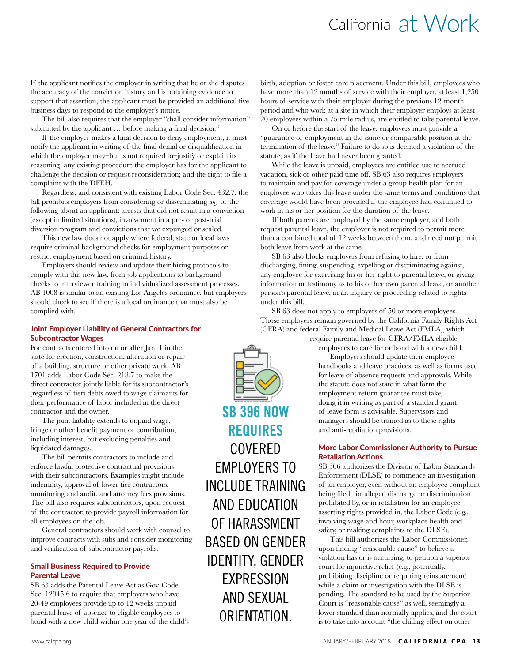## California at Work

If the applicant notifies the employer in writing that he or she disputes the accuracy of the conviction history and is obtaining evidence to support that assertion, the applicant must be provided an additional five business days to respond to the employer's notice.

The bill also requires that the employer "shall consider information" submitted by the applicant … before making a final decision."

If the employer makes a final decision to deny employment, it must notify the applicant in writing of the final denial or disqualification in which the employer may–but is not required to–justify or explain its reasoning; any existing procedure the employer has for the applicant to challenge the decision or request reconsideration; and the right to file a complaint with the DFEH.

Regardless, and consistent with existing Labor Code Sec. 432.7, the bill prohibits employers from considering or disseminating *any* of the following about an applicant: arrests that did not result in a conviction (except in limited situations), involvement in a pre- or post-trial diversion program and convictions that we expunged or sealed.

This new law does not apply where federal, state or local laws require criminal background checks for employment purposes or restrict employment based on criminal history.

Employers should review and update their hiring protocols to comply with this new law, from job applications to background checks to interviewer training to individualized assessment processes. AB 1008 is similar to an existing Los Angeles ordinance, but employers should check to see if there is a local ordinance that must also be complied with.

#### Joint Employer Liability of General Contractors for Subcontractor Wages

For contracts entered into on or after Jan. 1 in the state for erection, construction, alteration or repair of a building, structure or other private work, AB 1701 adds Labor Code Sec. 218.7 to make the direct contractor jointly liable for its subcontractor's (regardless of tier) debts owed to wage claimants for their performance of labor included in the direct contractor and the owner.

The joint liability extends to unpaid wage, fringe or other benefit payment or contribution, including interest, but excluding penalties and liquidated damages.

The bill permits contractors to include and enforce lawful protective contractual provisions with their subcontractors. Examples might include indemnity, approval of lower tier contractors, monitoring and audit, and attorney fees provisions. The bill also requires subcontractors, upon request of the contractor, to provide payroll information for all employees on the job.

General contractors should work with counsel to improve contracts with subs and consider monitoring and verification of subcontractor payrolls.

#### Small Business Required to Provide Parental Leave

SB 63 adds the Parental Leave Act as Gov. Code Sec. 12945.6 to require that employers who have 20-49 employees provide up to 12 weeks unpaid parental leave of absence to eligible employees to bond with a new child within one year of the child's birth, adoption or foster care placement. Under this bill, employees who have more than 12 months of service with their employer, at least 1,250 hours of service with their employer during the previous 12-month period and who work at a site in which their employer employs at least 20 employees within a 75-mile radius, are entitled to take parental leave.

On or before the start of the leave, employers must provide a "guarantee of employment in the same or comparable position at the termination of the leave." Failure to do so is deemed a violation of the statute, as if the leave had never been granted.

While the leave is unpaid, employees are entitled use to accrued vacation, sick or other paid time off. SB 63 also requires employers to maintain and pay for coverage under a group health plan for an employee who takes this leave under the same terms and conditions that coverage would have been provided if the employee had continued to work in his or her position for the duration of the leave.

If both parents are employed by the same employer, and both request parental leave, the employer is not required to permit more than a combined total of 12 weeks between them, and need not permit both leave from work at the same.

SB 63 also blocks employers from refusing to hire, or from discharging, fining, suspending, expelling or discriminating against, any employee for exercising his or her right to parental leave, or giving information or testimony as to his or her own parental leave, or another person's parental leave, in an inquiry or proceeding related to rights under this bill.

SB 63 does not apply to employers of 50 or more employees. Those employers remain governed by the California Family Rights Act (CFRA) and federal Family and Medical Leave Act (FMLA), which

require parental leave for CFRA/FMLA eligible

employees to care for or bond with a new child.

Employers should update their employee handbooks and leave practices, as well as forms used for leave of absence requests and approvals. While the statute does not state in what form the employment return guarantee must take, doing it in writing as part of a standard grant of leave form is advisable. Supervisors and managers should be trained as to these rights and anti-retaliation provisions.

#### More Labor Commissioner Authority to Pursue Retaliation Actions

SB 306 authorizes the Division of Labor Standards Enforcement (DLSE) to commence an investigation of an employer, even without an employee complaint being filed, for alleged discharge or discrimination prohibited by, or in retaliation for an employee asserting rights provided in, the Labor Code (e.g., involving wage and hour, workplace health and safety, or making complaints to the DLSE).

This bill authorizes the Labor Commissioner, upon finding "reasonable cause" to believe a violation has or is occurring, to petition a superior court for injunctive relief (e.g., potentially, prohibiting discipline or requiring reinstatement) while a claim or investigation with the DLSE is pending. The standard to be used by the Superior Court is "reasonable cause" as well, seemingly a lower standard than normally applies, and the court is to take into account "the chilling effect on other



**SB 396 NOW REQUIRES** COVERED EMPLOYERS TO INCLUDE TRAINING AND EDUCATION OF HARASSMENT BASED ON GENDER IDENTITY, GENDER EXPRESSION AND SEXUAL ORIENTATION.